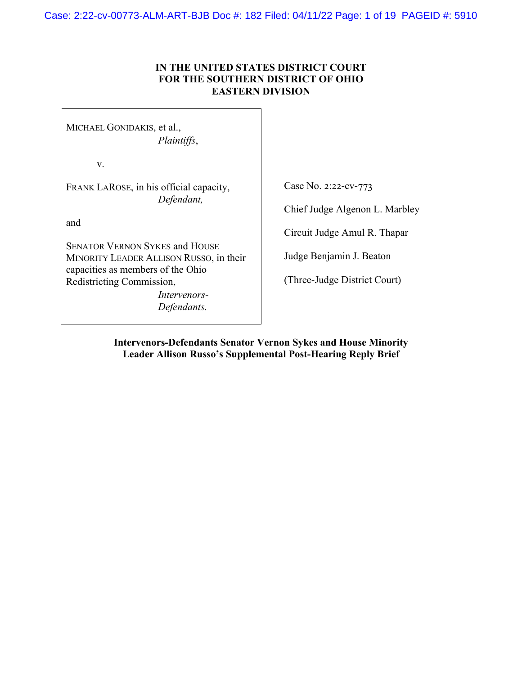Case: 2:22-cv-00773-ALM-ART-BJB Doc #: 182 Filed: 04/11/22 Page: 1 of 19 PAGEID #: 5910

## **IN THE UNITED STATES DISTRICT COURT FOR THE SOUTHERN DISTRICT OF OHIO EASTERN DIVISION**

MICHAEL GONIDAKIS, et al., *Plaintiffs*,

v.

FRANK LAROSE, in his official capacity, *Defendant,*

and

SENATOR VERNON SYKES and HOUSE MINORITY LEADER ALLISON RUSSO, in their capacities as members of the Ohio Redistricting Commission,

> *Intervenors-Defendants.*

Case No. 2:22-cv-773

Chief Judge Algenon L. Marbley

Circuit Judge Amul R. Thapar

Judge Benjamin J. Beaton

(Three-Judge District Court)

**Intervenors-Defendants Senator Vernon Sykes and House Minority Leader Allison Russo's Supplemental Post-Hearing Reply Brief**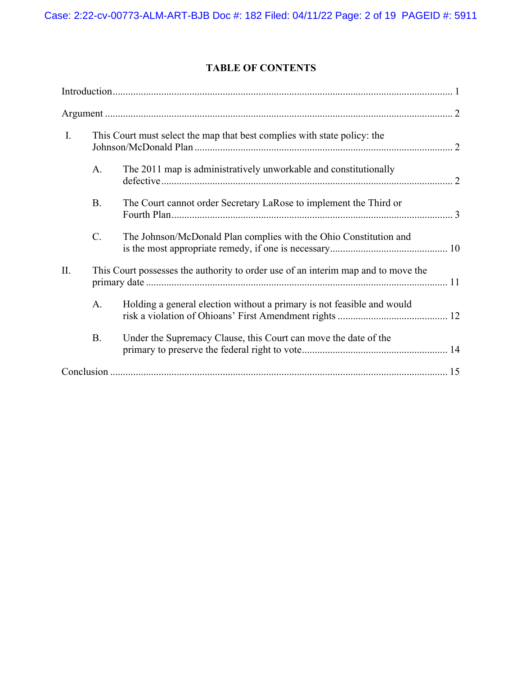# **TABLE OF CONTENTS**

| I.  |           | This Court must select the map that best complies with state policy: the          |  |
|-----|-----------|-----------------------------------------------------------------------------------|--|
|     | A.        | The 2011 map is administratively unworkable and constitutionally                  |  |
|     | <b>B.</b> | The Court cannot order Secretary LaRose to implement the Third or                 |  |
|     | C.        | The Johnson/McDonald Plan complies with the Ohio Constitution and                 |  |
| II. |           | This Court possesses the authority to order use of an interim map and to move the |  |
|     | A.        | Holding a general election without a primary is not feasible and would            |  |
|     | <b>B.</b> | Under the Supremacy Clause, this Court can move the date of the                   |  |
|     |           |                                                                                   |  |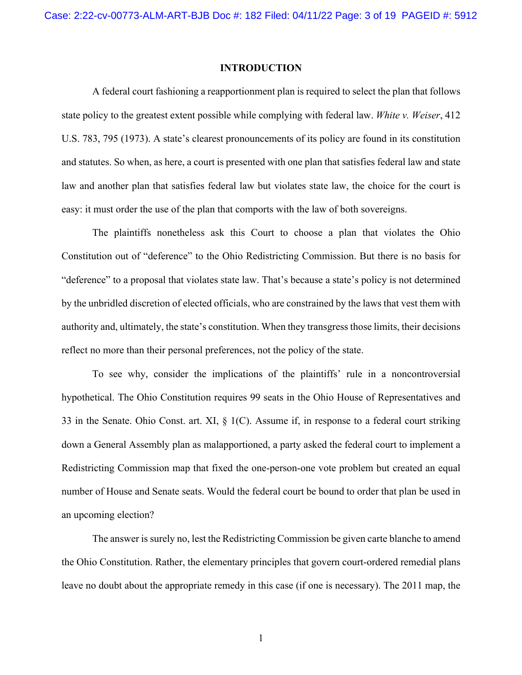#### **INTRODUCTION**

A federal court fashioning a reapportionment plan is required to select the plan that follows state policy to the greatest extent possible while complying with federal law. *White v. Weiser*, 412 U.S. 783, 795 (1973). A state's clearest pronouncements of its policy are found in its constitution and statutes. So when, as here, a court is presented with one plan that satisfies federal law and state law and another plan that satisfies federal law but violates state law, the choice for the court is easy: it must order the use of the plan that comports with the law of both sovereigns.

The plaintiffs nonetheless ask this Court to choose a plan that violates the Ohio Constitution out of "deference" to the Ohio Redistricting Commission. But there is no basis for "deference" to a proposal that violates state law. That's because a state's policy is not determined by the unbridled discretion of elected officials, who are constrained by the laws that vest them with authority and, ultimately, the state's constitution. When they transgress those limits, their decisions reflect no more than their personal preferences, not the policy of the state.

To see why, consider the implications of the plaintiffs' rule in a noncontroversial hypothetical. The Ohio Constitution requires 99 seats in the Ohio House of Representatives and 33 in the Senate. Ohio Const. art. XI, § 1(C). Assume if, in response to a federal court striking down a General Assembly plan as malapportioned, a party asked the federal court to implement a Redistricting Commission map that fixed the one-person-one vote problem but created an equal number of House and Senate seats. Would the federal court be bound to order that plan be used in an upcoming election?

The answer is surely no, lest the Redistricting Commission be given carte blanche to amend the Ohio Constitution. Rather, the elementary principles that govern court-ordered remedial plans leave no doubt about the appropriate remedy in this case (if one is necessary). The 2011 map, the

1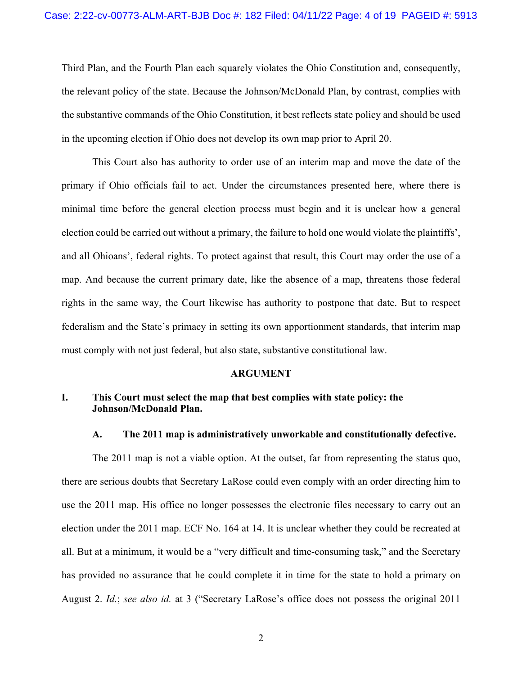Third Plan, and the Fourth Plan each squarely violates the Ohio Constitution and, consequently, the relevant policy of the state. Because the Johnson/McDonald Plan, by contrast, complies with the substantive commands of the Ohio Constitution, it best reflects state policy and should be used in the upcoming election if Ohio does not develop its own map prior to April 20.

This Court also has authority to order use of an interim map and move the date of the primary if Ohio officials fail to act. Under the circumstances presented here, where there is minimal time before the general election process must begin and it is unclear how a general election could be carried out without a primary, the failure to hold one would violate the plaintiffs', and all Ohioans', federal rights. To protect against that result, this Court may order the use of a map. And because the current primary date, like the absence of a map, threatens those federal rights in the same way, the Court likewise has authority to postpone that date. But to respect federalism and the State's primacy in setting its own apportionment standards, that interim map must comply with not just federal, but also state, substantive constitutional law.

#### **ARGUMENT**

## **I. This Court must select the map that best complies with state policy: the Johnson/McDonald Plan.**

#### **A. The 2011 map is administratively unworkable and constitutionally defective.**

The 2011 map is not a viable option. At the outset, far from representing the status quo, there are serious doubts that Secretary LaRose could even comply with an order directing him to use the 2011 map. His office no longer possesses the electronic files necessary to carry out an election under the 2011 map. ECF No. 164 at 14. It is unclear whether they could be recreated at all. But at a minimum, it would be a "very difficult and time-consuming task," and the Secretary has provided no assurance that he could complete it in time for the state to hold a primary on August 2. *Id.*; *see also id.* at 3 ("Secretary LaRose's office does not possess the original 2011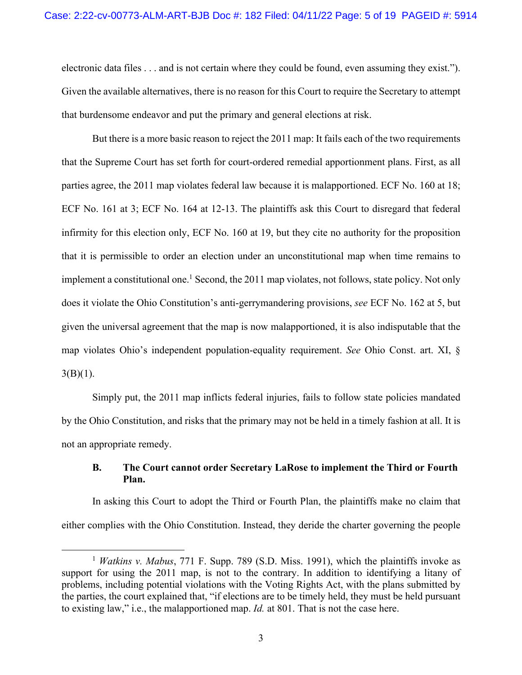electronic data files . . . and is not certain where they could be found, even assuming they exist."). Given the available alternatives, there is no reason for this Court to require the Secretary to attempt that burdensome endeavor and put the primary and general elections at risk.

But there is a more basic reason to reject the 2011 map: It fails each of the two requirements that the Supreme Court has set forth for court-ordered remedial apportionment plans. First, as all parties agree, the 2011 map violates federal law because it is malapportioned. ECF No. 160 at 18; ECF No. 161 at 3; ECF No. 164 at 12-13. The plaintiffs ask this Court to disregard that federal infirmity for this election only, ECF No. 160 at 19, but they cite no authority for the proposition that it is permissible to order an election under an unconstitutional map when time remains to implement a constitutional one.<sup>1</sup> Second, the 2011 map violates, not follows, state policy. Not only does it violate the Ohio Constitution's anti-gerrymandering provisions, *see* ECF No. 162 at 5, but given the universal agreement that the map is now malapportioned, it is also indisputable that the map violates Ohio's independent population-equality requirement. *See* Ohio Const. art. XI, §  $3(B)(1)$ .

Simply put, the 2011 map inflicts federal injuries, fails to follow state policies mandated by the Ohio Constitution, and risks that the primary may not be held in a timely fashion at all. It is not an appropriate remedy.

## **B. The Court cannot order Secretary LaRose to implement the Third or Fourth Plan.**

In asking this Court to adopt the Third or Fourth Plan, the plaintiffs make no claim that either complies with the Ohio Constitution. Instead, they deride the charter governing the people

<sup>1</sup> *Watkins v. Mabus*, 771 F. Supp. 789 (S.D. Miss. 1991), which the plaintiffs invoke as support for using the 2011 map, is not to the contrary. In addition to identifying a litany of problems, including potential violations with the Voting Rights Act, with the plans submitted by the parties, the court explained that, "if elections are to be timely held, they must be held pursuant to existing law," i.e., the malapportioned map. *Id.* at 801. That is not the case here.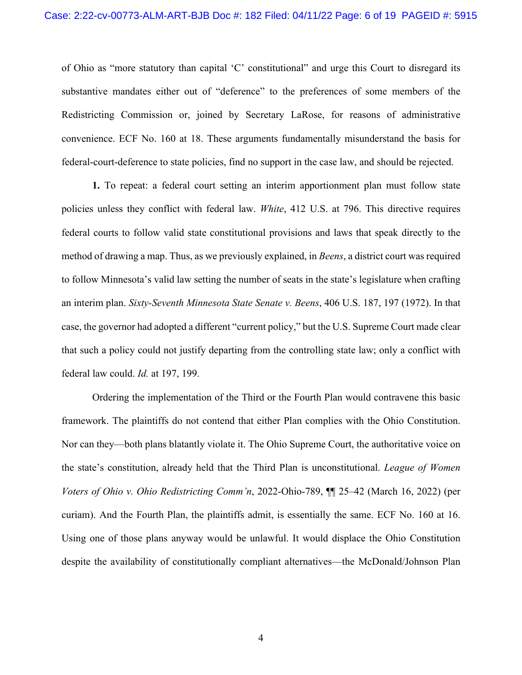of Ohio as "more statutory than capital 'C' constitutional" and urge this Court to disregard its substantive mandates either out of "deference" to the preferences of some members of the Redistricting Commission or, joined by Secretary LaRose, for reasons of administrative convenience. ECF No. 160 at 18. These arguments fundamentally misunderstand the basis for federal-court-deference to state policies, find no support in the case law, and should be rejected.

**1.** To repeat: a federal court setting an interim apportionment plan must follow state policies unless they conflict with federal law. *White*, 412 U.S. at 796. This directive requires federal courts to follow valid state constitutional provisions and laws that speak directly to the method of drawing a map. Thus, as we previously explained, in *Beens*, a district court was required to follow Minnesota's valid law setting the number of seats in the state's legislature when crafting an interim plan. *Sixty-Seventh Minnesota State Senate v. Beens*, 406 U.S. 187, 197 (1972). In that case, the governor had adopted a different "current policy," but the U.S. Supreme Court made clear that such a policy could not justify departing from the controlling state law; only a conflict with federal law could. *Id.* at 197, 199.

Ordering the implementation of the Third or the Fourth Plan would contravene this basic framework. The plaintiffs do not contend that either Plan complies with the Ohio Constitution. Nor can they—both plans blatantly violate it. The Ohio Supreme Court, the authoritative voice on the state's constitution, already held that the Third Plan is unconstitutional. *League of Women Voters of Ohio v. Ohio Redistricting Comm'n*, 2022-Ohio-789, ¶¶ 25–42 (March 16, 2022) (per curiam). And the Fourth Plan, the plaintiffs admit, is essentially the same. ECF No. 160 at 16. Using one of those plans anyway would be unlawful. It would displace the Ohio Constitution despite the availability of constitutionally compliant alternatives—the McDonald/Johnson Plan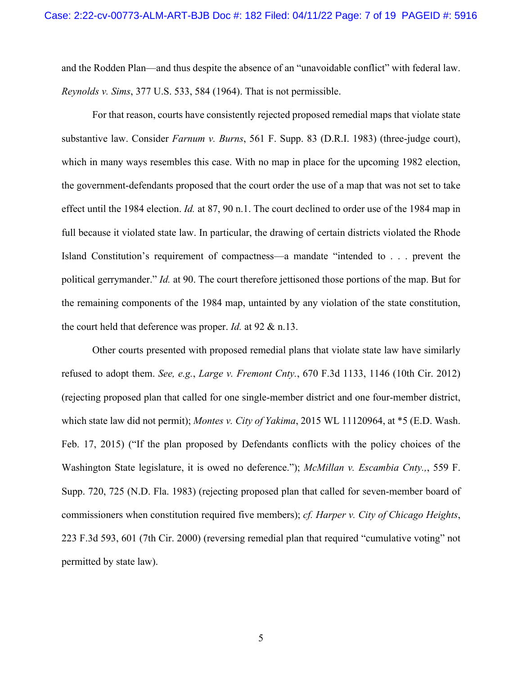and the Rodden Plan—and thus despite the absence of an "unavoidable conflict" with federal law. *Reynolds v. Sims*, 377 U.S. 533, 584 (1964). That is not permissible.

For that reason, courts have consistently rejected proposed remedial maps that violate state substantive law. Consider *Farnum v. Burns*, 561 F. Supp. 83 (D.R.I. 1983) (three-judge court), which in many ways resembles this case. With no map in place for the upcoming 1982 election, the government-defendants proposed that the court order the use of a map that was not set to take effect until the 1984 election. *Id.* at 87, 90 n.1. The court declined to order use of the 1984 map in full because it violated state law. In particular, the drawing of certain districts violated the Rhode Island Constitution's requirement of compactness—a mandate "intended to . . . prevent the political gerrymander." *Id.* at 90. The court therefore jettisoned those portions of the map. But for the remaining components of the 1984 map, untainted by any violation of the state constitution, the court held that deference was proper. *Id.* at 92 & n.13.

Other courts presented with proposed remedial plans that violate state law have similarly refused to adopt them. *See, e.g.*, *Large v. Fremont Cnty.*, 670 F.3d 1133, 1146 (10th Cir. 2012) (rejecting proposed plan that called for one single-member district and one four-member district, which state law did not permit); *Montes v. City of Yakima*, 2015 WL 11120964, at \*5 (E.D. Wash. Feb. 17, 2015) ("If the plan proposed by Defendants conflicts with the policy choices of the Washington State legislature, it is owed no deference."); *McMillan v. Escambia Cnty.,*, 559 F. Supp. 720, 725 (N.D. Fla. 1983) (rejecting proposed plan that called for seven-member board of commissioners when constitution required five members); *cf. Harper v. City of Chicago Heights*, 223 F.3d 593, 601 (7th Cir. 2000) (reversing remedial plan that required "cumulative voting" not permitted by state law).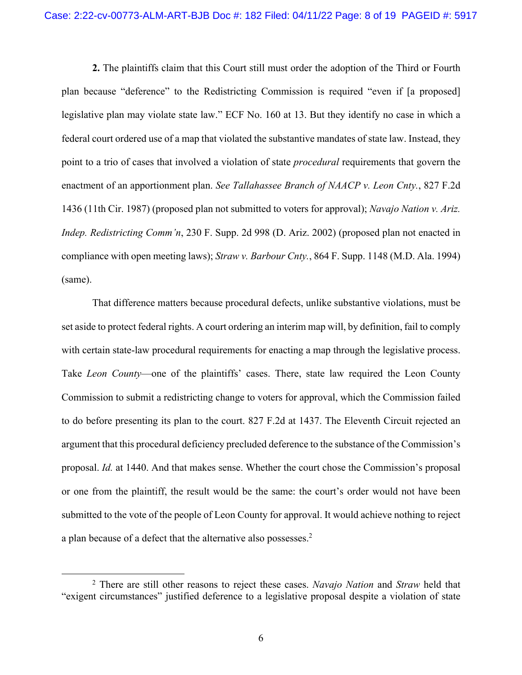**2.** The plaintiffs claim that this Court still must order the adoption of the Third or Fourth plan because "deference" to the Redistricting Commission is required "even if [a proposed] legislative plan may violate state law." ECF No. 160 at 13. But they identify no case in which a federal court ordered use of a map that violated the substantive mandates of state law. Instead, they point to a trio of cases that involved a violation of state *procedural* requirements that govern the enactment of an apportionment plan. *See Tallahassee Branch of NAACP v. Leon Cnty.*, 827 F.2d 1436 (11th Cir. 1987) (proposed plan not submitted to voters for approval); *Navajo Nation v. Ariz. Indep. Redistricting Comm'n*, 230 F. Supp. 2d 998 (D. Ariz. 2002) (proposed plan not enacted in compliance with open meeting laws); *Straw v. Barbour Cnty.*, 864 F. Supp. 1148 (M.D. Ala. 1994) (same).

That difference matters because procedural defects, unlike substantive violations, must be set aside to protect federal rights. A court ordering an interim map will, by definition, fail to comply with certain state-law procedural requirements for enacting a map through the legislative process. Take *Leon County*—one of the plaintiffs' cases. There, state law required the Leon County Commission to submit a redistricting change to voters for approval, which the Commission failed to do before presenting its plan to the court. 827 F.2d at 1437. The Eleventh Circuit rejected an argument that this procedural deficiency precluded deference to the substance of the Commission's proposal. *Id.* at 1440. And that makes sense. Whether the court chose the Commission's proposal or one from the plaintiff, the result would be the same: the court's order would not have been submitted to the vote of the people of Leon County for approval. It would achieve nothing to reject a plan because of a defect that the alternative also possesses.<sup>2</sup>

<sup>2</sup> There are still other reasons to reject these cases. *Navajo Nation* and *Straw* held that "exigent circumstances" justified deference to a legislative proposal despite a violation of state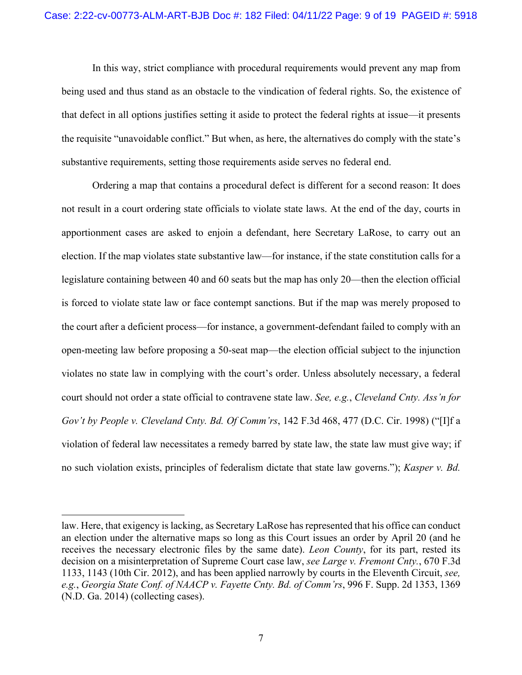In this way, strict compliance with procedural requirements would prevent any map from being used and thus stand as an obstacle to the vindication of federal rights. So, the existence of that defect in all options justifies setting it aside to protect the federal rights at issue—it presents the requisite "unavoidable conflict." But when, as here, the alternatives do comply with the state's substantive requirements, setting those requirements aside serves no federal end.

Ordering a map that contains a procedural defect is different for a second reason: It does not result in a court ordering state officials to violate state laws. At the end of the day, courts in apportionment cases are asked to enjoin a defendant, here Secretary LaRose, to carry out an election. If the map violates state substantive law—for instance, if the state constitution calls for a legislature containing between 40 and 60 seats but the map has only 20—then the election official is forced to violate state law or face contempt sanctions. But if the map was merely proposed to the court after a deficient process—for instance, a government-defendant failed to comply with an open-meeting law before proposing a 50-seat map—the election official subject to the injunction violates no state law in complying with the court's order. Unless absolutely necessary, a federal court should not order a state official to contravene state law. *See, e.g.*, *Cleveland Cnty. Ass'n for Gov't by People v. Cleveland Cnty. Bd. Of Comm'rs*, 142 F.3d 468, 477 (D.C. Cir. 1998) ("[I]f a violation of federal law necessitates a remedy barred by state law, the state law must give way; if no such violation exists, principles of federalism dictate that state law governs."); *Kasper v. Bd.* 

law. Here, that exigency is lacking, as Secretary LaRose has represented that his office can conduct an election under the alternative maps so long as this Court issues an order by April 20 (and he receives the necessary electronic files by the same date). *Leon County*, for its part, rested its decision on a misinterpretation of Supreme Court case law, *see Large v. Fremont Cnty.*, 670 F.3d 1133, 1143 (10th Cir. 2012), and has been applied narrowly by courts in the Eleventh Circuit, *see, e.g.*, *Georgia State Conf. of NAACP v. Fayette Cnty. Bd. of Comm'rs*, 996 F. Supp. 2d 1353, 1369 (N.D. Ga. 2014) (collecting cases).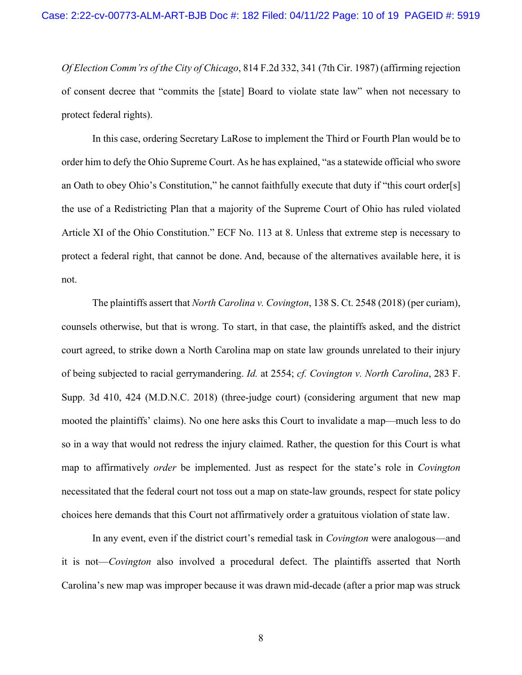*Of Election Comm'rs of the City of Chicago*, 814 F.2d 332, 341 (7th Cir. 1987) (affirming rejection of consent decree that "commits the [state] Board to violate state law" when not necessary to protect federal rights).

In this case, ordering Secretary LaRose to implement the Third or Fourth Plan would be to order him to defy the Ohio Supreme Court. As he has explained, "as a statewide official who swore an Oath to obey Ohio's Constitution," he cannot faithfully execute that duty if "this court order[s] the use of a Redistricting Plan that a majority of the Supreme Court of Ohio has ruled violated Article XI of the Ohio Constitution." ECF No. 113 at 8. Unless that extreme step is necessary to protect a federal right, that cannot be done. And, because of the alternatives available here, it is not.

The plaintiffs assert that *North Carolina v. Covington*, 138 S. Ct. 2548 (2018) (per curiam), counsels otherwise, but that is wrong. To start, in that case, the plaintiffs asked, and the district court agreed, to strike down a North Carolina map on state law grounds unrelated to their injury of being subjected to racial gerrymandering. *Id.* at 2554; *cf. Covington v. North Carolina*, 283 F. Supp. 3d 410, 424 (M.D.N.C. 2018) (three-judge court) (considering argument that new map mooted the plaintiffs' claims). No one here asks this Court to invalidate a map—much less to do so in a way that would not redress the injury claimed. Rather, the question for this Court is what map to affirmatively *order* be implemented. Just as respect for the state's role in *Covington*  necessitated that the federal court not toss out a map on state-law grounds, respect for state policy choices here demands that this Court not affirmatively order a gratuitous violation of state law.

In any event, even if the district court's remedial task in *Covington* were analogous—and it is not—*Covington* also involved a procedural defect. The plaintiffs asserted that North Carolina's new map was improper because it was drawn mid-decade (after a prior map was struck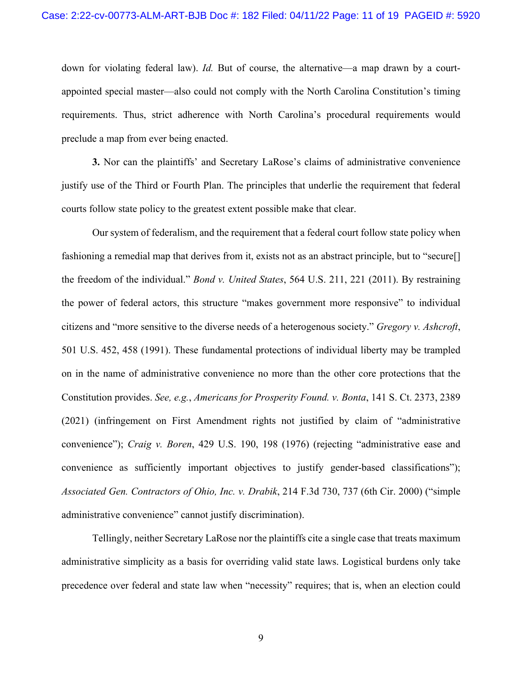down for violating federal law). *Id.* But of course, the alternative—a map drawn by a courtappointed special master—also could not comply with the North Carolina Constitution's timing requirements. Thus, strict adherence with North Carolina's procedural requirements would preclude a map from ever being enacted.

**3.** Nor can the plaintiffs' and Secretary LaRose's claims of administrative convenience justify use of the Third or Fourth Plan. The principles that underlie the requirement that federal courts follow state policy to the greatest extent possible make that clear.

Our system of federalism, and the requirement that a federal court follow state policy when fashioning a remedial map that derives from it, exists not as an abstract principle, but to "secure[] the freedom of the individual." *Bond v. United States*, 564 U.S. 211, 221 (2011). By restraining the power of federal actors, this structure "makes government more responsive" to individual citizens and "more sensitive to the diverse needs of a heterogenous society." *Gregory v. Ashcroft*, 501 U.S. 452, 458 (1991). These fundamental protections of individual liberty may be trampled on in the name of administrative convenience no more than the other core protections that the Constitution provides. *See, e.g.*, *Americans for Prosperity Found. v. Bonta*, 141 S. Ct. 2373, 2389 (2021) (infringement on First Amendment rights not justified by claim of "administrative convenience"); *Craig v. Boren*, 429 U.S. 190, 198 (1976) (rejecting "administrative ease and convenience as sufficiently important objectives to justify gender-based classifications"); *Associated Gen. Contractors of Ohio, Inc. v. Drabik*, 214 F.3d 730, 737 (6th Cir. 2000) ("simple administrative convenience" cannot justify discrimination).

Tellingly, neither Secretary LaRose nor the plaintiffs cite a single case that treats maximum administrative simplicity as a basis for overriding valid state laws. Logistical burdens only take precedence over federal and state law when "necessity" requires; that is, when an election could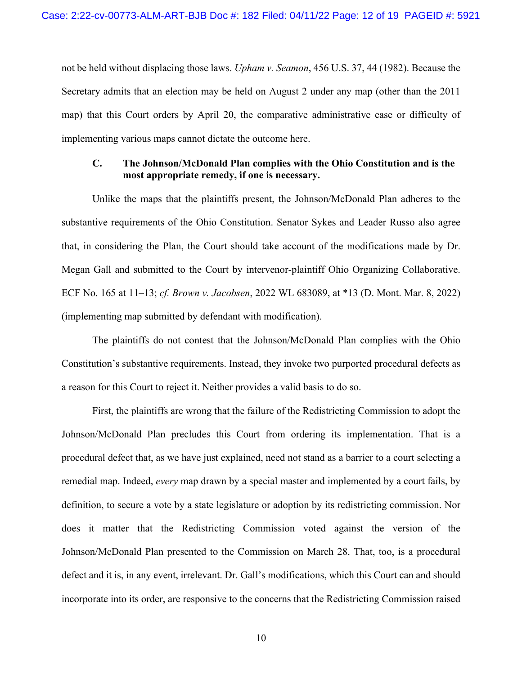not be held without displacing those laws. *Upham v. Seamon*, 456 U.S. 37, 44 (1982). Because the Secretary admits that an election may be held on August 2 under any map (other than the 2011 map) that this Court orders by April 20, the comparative administrative ease or difficulty of implementing various maps cannot dictate the outcome here.

#### **C. The Johnson/McDonald Plan complies with the Ohio Constitution and is the most appropriate remedy, if one is necessary.**

Unlike the maps that the plaintiffs present, the Johnson/McDonald Plan adheres to the substantive requirements of the Ohio Constitution. Senator Sykes and Leader Russo also agree that, in considering the Plan, the Court should take account of the modifications made by Dr. Megan Gall and submitted to the Court by intervenor-plaintiff Ohio Organizing Collaborative. ECF No. 165 at 11–13; *cf. Brown v. Jacobsen*, 2022 WL 683089, at \*13 (D. Mont. Mar. 8, 2022) (implementing map submitted by defendant with modification).

The plaintiffs do not contest that the Johnson/McDonald Plan complies with the Ohio Constitution's substantive requirements. Instead, they invoke two purported procedural defects as a reason for this Court to reject it. Neither provides a valid basis to do so.

First, the plaintiffs are wrong that the failure of the Redistricting Commission to adopt the Johnson/McDonald Plan precludes this Court from ordering its implementation. That is a procedural defect that, as we have just explained, need not stand as a barrier to a court selecting a remedial map. Indeed, *every* map drawn by a special master and implemented by a court fails, by definition, to secure a vote by a state legislature or adoption by its redistricting commission. Nor does it matter that the Redistricting Commission voted against the version of the Johnson/McDonald Plan presented to the Commission on March 28. That, too, is a procedural defect and it is, in any event, irrelevant. Dr. Gall's modifications, which this Court can and should incorporate into its order, are responsive to the concerns that the Redistricting Commission raised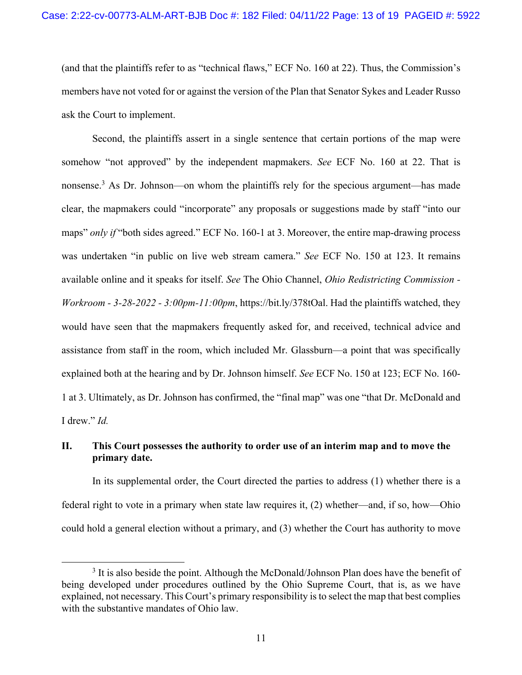(and that the plaintiffs refer to as "technical flaws," ECF No. 160 at 22). Thus, the Commission's members have not voted for or against the version of the Plan that Senator Sykes and Leader Russo ask the Court to implement.

Second, the plaintiffs assert in a single sentence that certain portions of the map were somehow "not approved" by the independent mapmakers. *See* ECF No. 160 at 22. That is nonsense.<sup>3</sup> As Dr. Johnson—on whom the plaintiffs rely for the specious argument—has made clear, the mapmakers could "incorporate" any proposals or suggestions made by staff "into our maps" *only if* "both sides agreed." ECF No. 160-1 at 3. Moreover, the entire map-drawing process was undertaken "in public on live web stream camera." *See* ECF No. 150 at 123. It remains available online and it speaks for itself. *See* The Ohio Channel, *Ohio Redistricting Commission - Workroom - 3-28-2022 - 3:00pm-11:00pm*, https://bit.ly/378tOal. Had the plaintiffs watched, they would have seen that the mapmakers frequently asked for, and received, technical advice and assistance from staff in the room, which included Mr. Glassburn—a point that was specifically explained both at the hearing and by Dr. Johnson himself. *See* ECF No. 150 at 123; ECF No. 160- 1 at 3. Ultimately, as Dr. Johnson has confirmed, the "final map" was one "that Dr. McDonald and I drew." *Id.*

## **II. This Court possesses the authority to order use of an interim map and to move the primary date.**

In its supplemental order, the Court directed the parties to address (1) whether there is a federal right to vote in a primary when state law requires it, (2) whether—and, if so, how—Ohio could hold a general election without a primary, and (3) whether the Court has authority to move

<sup>&</sup>lt;sup>3</sup> It is also beside the point. Although the McDonald/Johnson Plan does have the benefit of being developed under procedures outlined by the Ohio Supreme Court, that is, as we have explained, not necessary. This Court's primary responsibility is to select the map that best complies with the substantive mandates of Ohio law.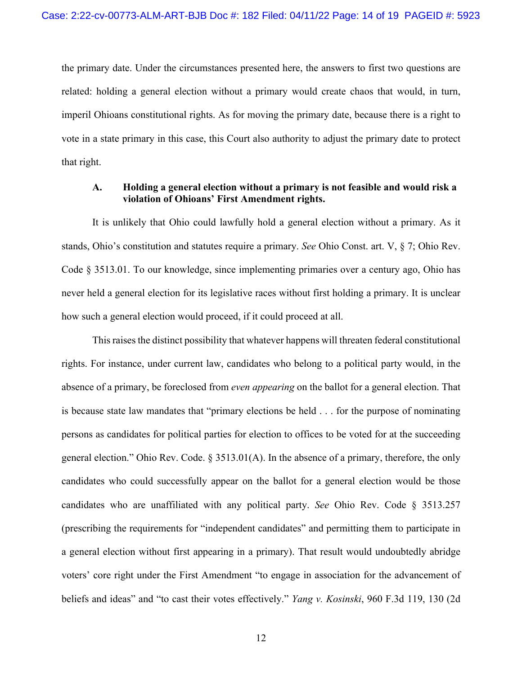the primary date. Under the circumstances presented here, the answers to first two questions are related: holding a general election without a primary would create chaos that would, in turn, imperil Ohioans constitutional rights. As for moving the primary date, because there is a right to vote in a state primary in this case, this Court also authority to adjust the primary date to protect that right.

#### **A. Holding a general election without a primary is not feasible and would risk a violation of Ohioans' First Amendment rights.**

It is unlikely that Ohio could lawfully hold a general election without a primary. As it stands, Ohio's constitution and statutes require a primary. *See* Ohio Const. art. V, § 7; Ohio Rev. Code § 3513.01. To our knowledge, since implementing primaries over a century ago, Ohio has never held a general election for its legislative races without first holding a primary. It is unclear how such a general election would proceed, if it could proceed at all.

This raises the distinct possibility that whatever happens will threaten federal constitutional rights. For instance, under current law, candidates who belong to a political party would, in the absence of a primary, be foreclosed from *even appearing* on the ballot for a general election. That is because state law mandates that "primary elections be held . . . for the purpose of nominating persons as candidates for political parties for election to offices to be voted for at the succeeding general election." Ohio Rev. Code. § 3513.01(A). In the absence of a primary, therefore, the only candidates who could successfully appear on the ballot for a general election would be those candidates who are unaffiliated with any political party. *See* Ohio Rev. Code § 3513.257 (prescribing the requirements for "independent candidates" and permitting them to participate in a general election without first appearing in a primary). That result would undoubtedly abridge voters' core right under the First Amendment "to engage in association for the advancement of beliefs and ideas" and "to cast their votes effectively." *Yang v. Kosinski*, 960 F.3d 119, 130 (2d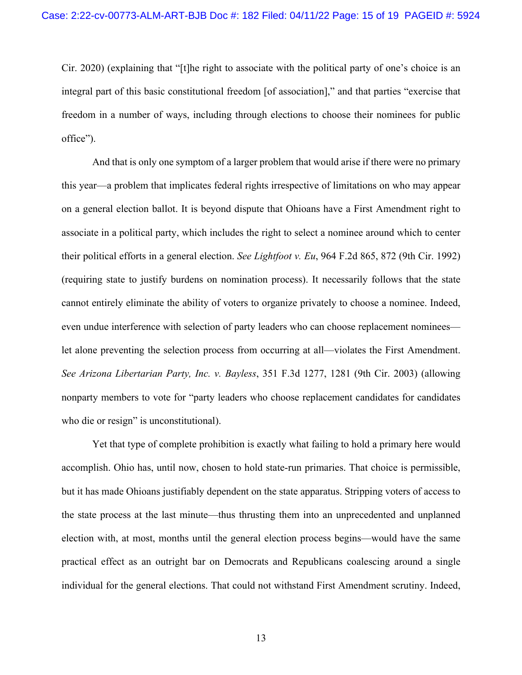Cir. 2020) (explaining that "[t]he right to associate with the political party of one's choice is an integral part of this basic constitutional freedom [of association]," and that parties "exercise that freedom in a number of ways, including through elections to choose their nominees for public office").

And that is only one symptom of a larger problem that would arise if there were no primary this year—a problem that implicates federal rights irrespective of limitations on who may appear on a general election ballot. It is beyond dispute that Ohioans have a First Amendment right to associate in a political party, which includes the right to select a nominee around which to center their political efforts in a general election. *See Lightfoot v. Eu*, 964 F.2d 865, 872 (9th Cir. 1992) (requiring state to justify burdens on nomination process). It necessarily follows that the state cannot entirely eliminate the ability of voters to organize privately to choose a nominee. Indeed, even undue interference with selection of party leaders who can choose replacement nominees let alone preventing the selection process from occurring at all—violates the First Amendment. *See Arizona Libertarian Party, Inc. v. Bayless*, 351 F.3d 1277, 1281 (9th Cir. 2003) (allowing nonparty members to vote for "party leaders who choose replacement candidates for candidates who die or resign" is unconstitutional).

Yet that type of complete prohibition is exactly what failing to hold a primary here would accomplish. Ohio has, until now, chosen to hold state-run primaries. That choice is permissible, but it has made Ohioans justifiably dependent on the state apparatus. Stripping voters of access to the state process at the last minute—thus thrusting them into an unprecedented and unplanned election with, at most, months until the general election process begins—would have the same practical effect as an outright bar on Democrats and Republicans coalescing around a single individual for the general elections. That could not withstand First Amendment scrutiny. Indeed,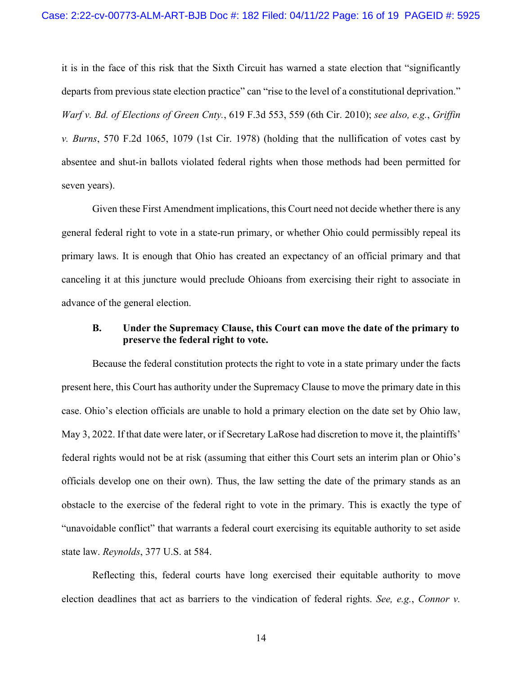it is in the face of this risk that the Sixth Circuit has warned a state election that "significantly departs from previous state election practice" can "rise to the level of a constitutional deprivation." *Warf v. Bd. of Elections of Green Cnty.*, 619 F.3d 553, 559 (6th Cir. 2010); *see also, e.g.*, *Griffin v. Burns*, 570 F.2d 1065, 1079 (1st Cir. 1978) (holding that the nullification of votes cast by absentee and shut-in ballots violated federal rights when those methods had been permitted for seven years).

Given these First Amendment implications, this Court need not decide whether there is any general federal right to vote in a state-run primary, or whether Ohio could permissibly repeal its primary laws. It is enough that Ohio has created an expectancy of an official primary and that canceling it at this juncture would preclude Ohioans from exercising their right to associate in advance of the general election.

## **B. Under the Supremacy Clause, this Court can move the date of the primary to preserve the federal right to vote.**

Because the federal constitution protects the right to vote in a state primary under the facts present here, this Court has authority under the Supremacy Clause to move the primary date in this case. Ohio's election officials are unable to hold a primary election on the date set by Ohio law, May 3, 2022. If that date were later, or if Secretary LaRose had discretion to move it, the plaintiffs' federal rights would not be at risk (assuming that either this Court sets an interim plan or Ohio's officials develop one on their own). Thus, the law setting the date of the primary stands as an obstacle to the exercise of the federal right to vote in the primary. This is exactly the type of "unavoidable conflict" that warrants a federal court exercising its equitable authority to set aside state law. *Reynolds*, 377 U.S. at 584.

Reflecting this, federal courts have long exercised their equitable authority to move election deadlines that act as barriers to the vindication of federal rights. *See, e.g.*, *Connor v.*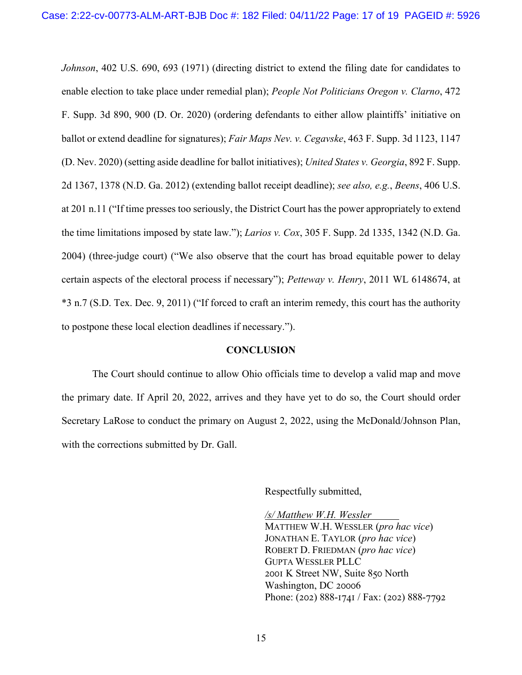*Johnson*, 402 U.S. 690, 693 (1971) (directing district to extend the filing date for candidates to enable election to take place under remedial plan); *People Not Politicians Oregon v. Clarno*, 472 F. Supp. 3d 890, 900 (D. Or. 2020) (ordering defendants to either allow plaintiffs' initiative on ballot or extend deadline for signatures); *Fair Maps Nev. v. Cegavske*, 463 F. Supp. 3d 1123, 1147 (D. Nev. 2020) (setting aside deadline for ballot initiatives); *United States v. Georgia*, 892 F. Supp. 2d 1367, 1378 (N.D. Ga. 2012) (extending ballot receipt deadline); *see also, e.g.*, *Beens*, 406 U.S. at 201 n.11 ("If time presses too seriously, the District Court has the power appropriately to extend the time limitations imposed by state law."); *Larios v. Cox*, 305 F. Supp. 2d 1335, 1342 (N.D. Ga. 2004) (three-judge court) ("We also observe that the court has broad equitable power to delay certain aspects of the electoral process if necessary"); *Petteway v. Henry*, 2011 WL 6148674, at \*3 n.7 (S.D. Tex. Dec. 9, 2011) ("If forced to craft an interim remedy, this court has the authority to postpone these local election deadlines if necessary.").

#### **CONCLUSION**

The Court should continue to allow Ohio officials time to develop a valid map and move the primary date. If April 20, 2022, arrives and they have yet to do so, the Court should order Secretary LaRose to conduct the primary on August 2, 2022, using the McDonald/Johnson Plan, with the corrections submitted by Dr. Gall.

Respectfully submitted,

*/s/ Matthew W.H. Wessler* MATTHEW W.H. WESSLER (*pro hac vice*) JONATHAN E. TAYLOR (*pro hac vice*) ROBERT D. FRIEDMAN (*pro hac vice*) GUPTA WESSLER PLLC 2001 K Street NW, Suite 850 North Washington, DC 20006 Phone: (202)  $888-1741$  / Fax: (202)  $888-7792$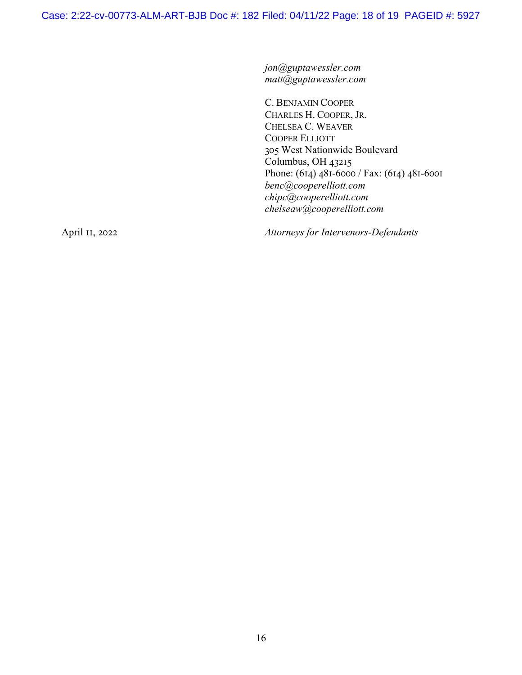*jon@guptawessler.com matt@guptawessler.com*

C. BENJAMIN COOPER CHARLES H. COOPER, JR. CHELSEA C. WEAVER COOPER ELLIOTT 305 West Nationwide Boulevard  $Columbus, OH$  43215 Phone: (614)  $481-6000$  / Fax: (614)  $481-6001$ *benc@cooperelliott.com chipc@cooperelliott.com chelseaw@cooperelliott.com*

April II, 2022 *Attorneys for Intervenors-Defendants*